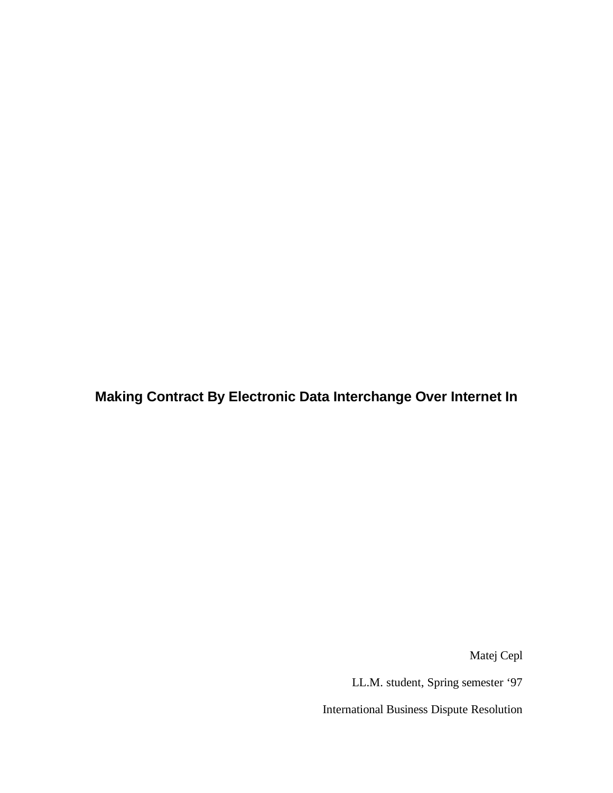**Making Contract By Electronic Data Interchange Over Internet In**

Matej Cepl

LL.M. student, Spring semester '97

International Business Dispute Resolution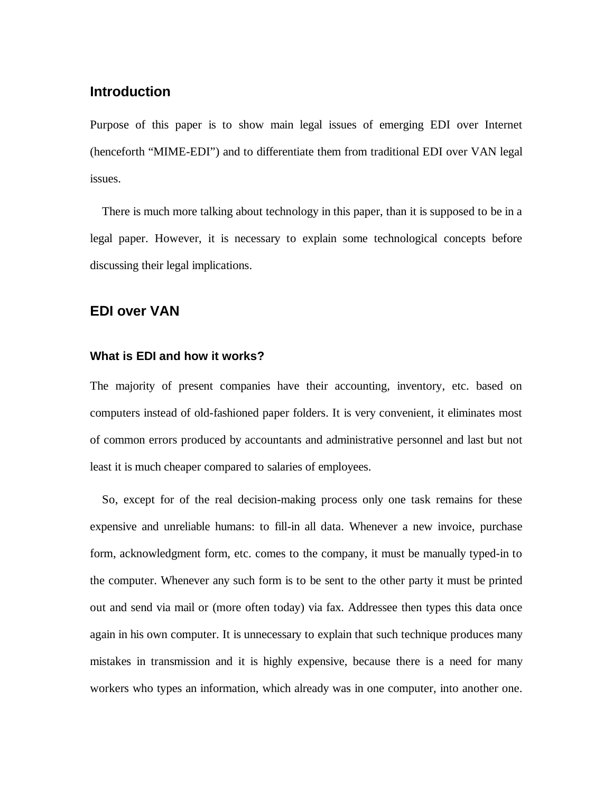# **Introduction**

Purpose of this paper is to show main legal issues of emerging EDI over Internet (henceforth "MIME-EDI") and to differentiate them from traditional EDI over VAN legal issues.

There is much more talking about technology in this paper, than it is supposed to be in a legal paper. However, it is necessary to explain some technological concepts before discussing their legal implications.

# **EDI over VAN**

## **What is EDI and how it works?**

The majority of present companies have their accounting, inventory, etc. based on computers instead of old-fashioned paper folders. It is very convenient, it eliminates most of common errors produced by accountants and administrative personnel and last but not least it is much cheaper compared to salaries of employees.

So, except for of the real decision-making process only one task remains for these expensive and unreliable humans: to fill-in all data. Whenever a new invoice, purchase form, acknowledgment form, etc. comes to the company, it must be manually typed-in to the computer. Whenever any such form is to be sent to the other party it must be printed out and send via mail or (more often today) via fax. Addressee then types this data once again in his own computer. It is unnecessary to explain that such technique produces many mistakes in transmission and it is highly expensive, because there is a need for many workers who types an information, which already was in one computer, into another one.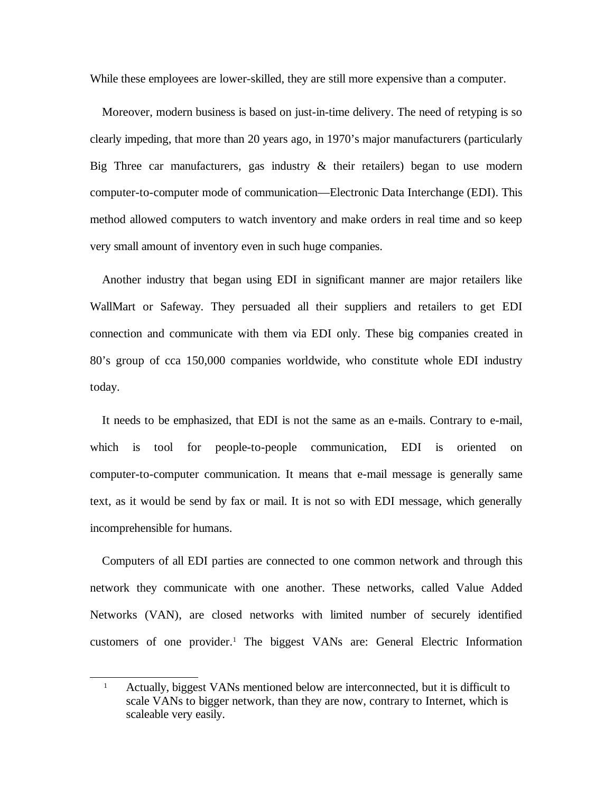While these employees are lower-skilled, they are still more expensive than a computer.

Moreover, modern business is based on just-in-time delivery. The need of retyping is so clearly impeding, that more than 20 years ago, in 1970's major manufacturers (particularly Big Three car manufacturers, gas industry  $\&$  their retailers) began to use modern computer-to-computer mode of communication—Electronic Data Interchange (EDI). This method allowed computers to watch inventory and make orders in real time and so keep very small amount of inventory even in such huge companies.

Another industry that began using EDI in significant manner are major retailers like WallMart or Safeway. They persuaded all their suppliers and retailers to get EDI connection and communicate with them via EDI only. These big companies created in 80's group of cca 150,000 companies worldwide, who constitute whole EDI industry today.

It needs to be emphasized, that EDI is not the same as an e-mails. Contrary to e-mail, which is tool for people-to-people communication, EDI is oriented on computer-to-computer communication. It means that e-mail message is generally same text, as it would be send by fax or mail. It is not so with EDI message, which generally incomprehensible for humans.

Computers of all EDI parties are connected to one common network and through this network they communicate with one another. These networks, called Value Added Networks (VAN), are closed networks with limited number of securely identified customers of one provider. [1](#page-3-0) The biggest VANs are: General Electric Information

<span id="page-3-0"></span><sup>&</sup>lt;sup>1</sup> Actually, biggest VANs mentioned below are interconnected, but it is difficult to scale VANs to bigger network, than they are now, contrary to Internet, which is scaleable very easily.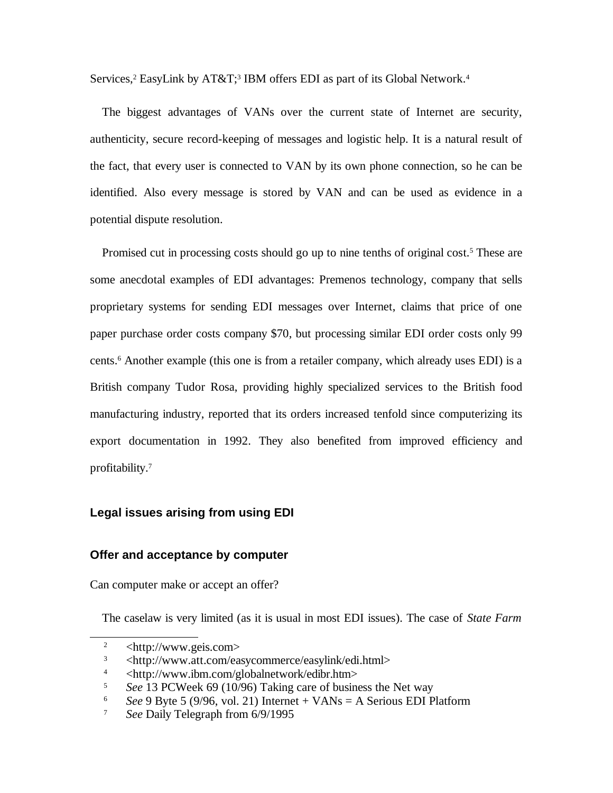Services,<sup>[2](#page-4-0)</sup> EasyLink by AT&T;<sup>[3](#page-4-1)</sup> IBM offers EDI as part of its Global Network.<sup>[4](#page-4-2)</sup>

The biggest advantages of VANs over the current state of Internet are security, authenticity, secure record-keeping of messages and logistic help. It is a natural result of the fact, that every user is connected to VAN by its own phone connection, so he can be identified. Also every message is stored by VAN and can be used as evidence in a potential dispute resolution.

Promised cut in processing costs should go up to nine tenths of original cost.<sup>[5](#page-4-3)</sup> These are some anecdotal examples of EDI advantages: Premenos technology, company that sells proprietary systems for sending EDI messages over Internet, claims that price of one paper purchase order costs company \$70, but processing similar EDI order costs only 99 cents. [6](#page-4-4) Another example (this one is from a retailer company, which already uses EDI) is a British company Tudor Rosa, providing highly specialized services to the British food manufacturing industry, reported that its orders increased tenfold since computerizing its export documentation in 1992. They also benefited from improved efficiency and profitability. [7](#page-4-5)

### **Legal issues arising from using EDI**

### **Offer and acceptance by computer**

Can computer make or accept an offer?

The caselaw is very limited (as it is usual in most EDI issues). The case of *State Farm*

<span id="page-4-0"></span> $2 \times \text{http://www.geis.com>}$ 

<span id="page-4-1"></span> $3 \left( \frac{\text{http://www.att.com/easycommerce/easylink/edi.html}}{\text{http://www.ibm.com/alobalnetwork/edibr.htm}} \right)$ 

<span id="page-4-2"></span><sup>4</sup> <http://www.ibm.com/globalnetwork/edibr.htm>

<span id="page-4-3"></span><sup>5</sup> *See* 13 PCWeek 69 (10/96) Taking care of business the Net way

<span id="page-4-4"></span><sup>6</sup> *See* 9 Byte 5 (9/96, vol. 21) Internet + VANs = A Serious EDI Platform

<span id="page-4-5"></span><sup>7</sup> *See* Daily Telegraph from 6/9/1995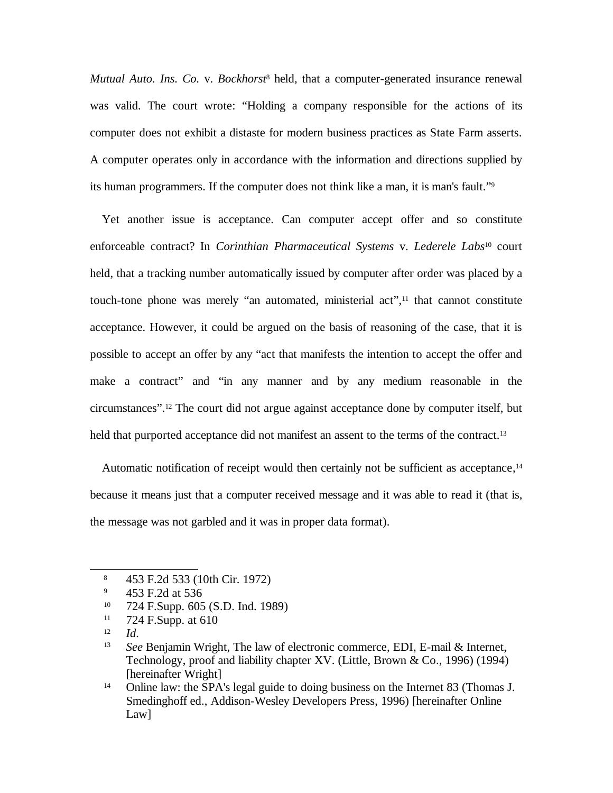*Mutual Auto. Ins. Co.* v. *Bockhorst* [8](#page-5-0) held, that a computer-generated insurance renewal was valid. The court wrote: "Holding a company responsible for the actions of its computer does not exhibit a distaste for modern business practices as State Farm asserts. A computer operates only in accordance with the information and directions supplied by its human programmers. If the computer does not think like a man, it is man's fault."[9](#page-5-1)

Yet another issue is acceptance. Can computer accept offer and so constitute enforceable contract? In *Corinthian Pharmaceutical Systems* v. *Lederele Labs* [10](#page-5-2) court held, that a tracking number automatically issued by computer after order was placed by a touch-tone phone was merely "an automated, ministerial act",<sup>[11](#page-5-3)</sup> that cannot constitute acceptance. However, it could be argued on the basis of reasoning of the case, that it is possible to accept an offer by any "act that manifests the intention to accept the offer and make a contract" and "in any manner and by any medium reasonable in the circumstances". [12](#page-5-4) The court did not argue against acceptance done by computer itself, but held that purported acceptance did not manifest an assent to the terms of the contract.<sup>[13](#page-5-5)</sup>

Automatic notification of receipt would then certainly not be sufficient as acceptance,<sup>[14](#page-5-6)</sup> because it means just that a computer received message and it was able to read it (that is, the message was not garbled and it was in proper data format).

- <span id="page-5-2"></span><sup>10</sup> 724 F.Supp. 605 (S.D. Ind. 1989)
- <span id="page-5-3"></span><sup>11</sup> 724 F.Supp. at 610
- <span id="page-5-4"></span>12 *Id.*

<span id="page-5-0"></span><sup>8</sup> 453 F.2d 533 (10th Cir. 1972)

<span id="page-5-1"></span><sup>9</sup> 453 F.2d at 536

<span id="page-5-5"></span><sup>13</sup> *See* Benjamin Wright, The law of electronic commerce, EDI, E-mail & Internet, Technology, proof and liability chapter XV. (Little, Brown & Co., 1996) (1994) [hereinafter Wright]

<span id="page-5-6"></span><sup>&</sup>lt;sup>14</sup> Online law: the SPA's legal guide to doing business on the Internet 83 (Thomas J. Smedinghoff ed., Addison-Wesley Developers Press, 1996) [hereinafter Online Law]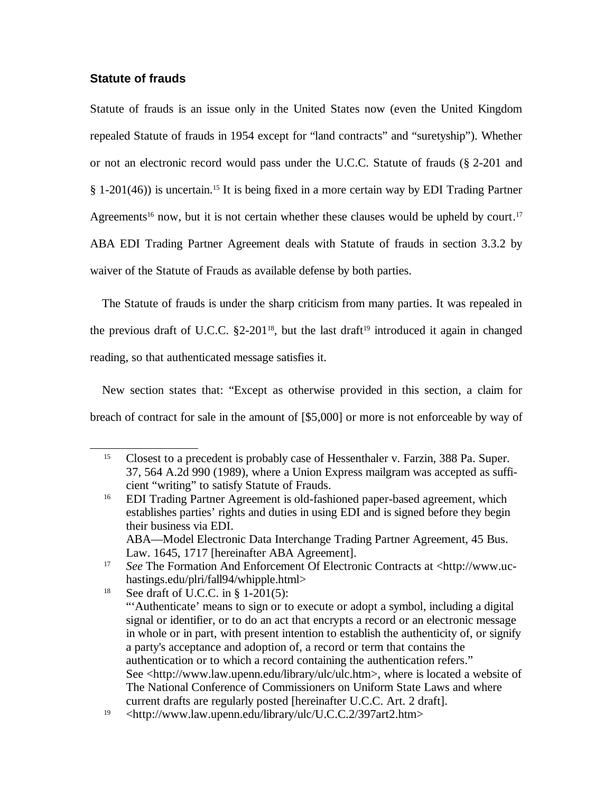## **Statute of frauds**

Statute of frauds is an issue only in the United States now (even the United Kingdom repealed Statute of frauds in 1954 except for "land contracts" and "suretyship"). Whether or not an electronic record would pass under the U.C.C. Statute of frauds (§ 2-201 and § 1-201(46)) is uncertain.<sup>[15](#page-6-0)</sup> It is being fixed in a more certain way by EDI Trading Partner Agreements<sup>[16](#page-6-1)</sup> now, but it is not certain whether these clauses would be upheld by court.<sup>[17](#page-6-2)</sup> ABA EDI Trading Partner Agreement deals with Statute of frauds in section 3.3.2 by waiver of the Statute of Frauds as available defense by both parties.

The Statute of frauds is under the sharp criticism from many parties. It was repealed in the previous draft of U.C.C. §2-201<sup>[18](#page-6-3)</sup>, but the last draft<sup>[19](#page-6-4)</sup> introduced it again in changed reading, so that authenticated message satisfies it.

New section states that: "Except as otherwise provided in this section, a claim for breach of contract for sale in the amount of [\$5,000] or more is not enforceable by way of

<span id="page-6-0"></span><sup>&</sup>lt;sup>15</sup> Closest to a precedent is probably case of Hessenthaler v. Farzin, 388 Pa. Super. 37, 564 A.2d 990 (1989), where a Union Express mailgram was accepted as sufficient "writing" to satisfy Statute of Frauds.

<span id="page-6-1"></span><sup>16</sup> EDI Trading Partner Agreement is old-fashioned paper-based agreement, which establishes parties' rights and duties in using EDI and is signed before they begin their business via EDI. ABA—Model Electronic Data Interchange Trading Partner Agreement, 45 Bus. Law. 1645, 1717 [hereinafter ABA Agreement].

<span id="page-6-2"></span><sup>17</sup> *See* The Formation And Enforcement Of Electronic Contracts at <http://www.uchastings.edu/plri/fall94/whipple.html>

<span id="page-6-3"></span><sup>&</sup>lt;sup>18</sup> See draft of U.C.C. in § 1-201(5): "'Authenticate' means to sign or to execute or adopt a symbol, including a digital signal or identifier, or to do an act that encrypts a record or an electronic message in whole or in part, with present intention to establish the authenticity of, or signify a party's acceptance and adoption of, a record or term that contains the authentication or to which a record containing the authentication refers." See <http://www.law.upenn.edu/library/ulc/ulc.htm>, where is located a website of The National Conference of Commissioners on Uniform State Laws and where current drafts are regularly posted [hereinafter U.C.C. Art. 2 draft].

<span id="page-6-4"></span><sup>19</sup> <http://www.law.upenn.edu/library/ulc/U.C.C.2/397art2.htm>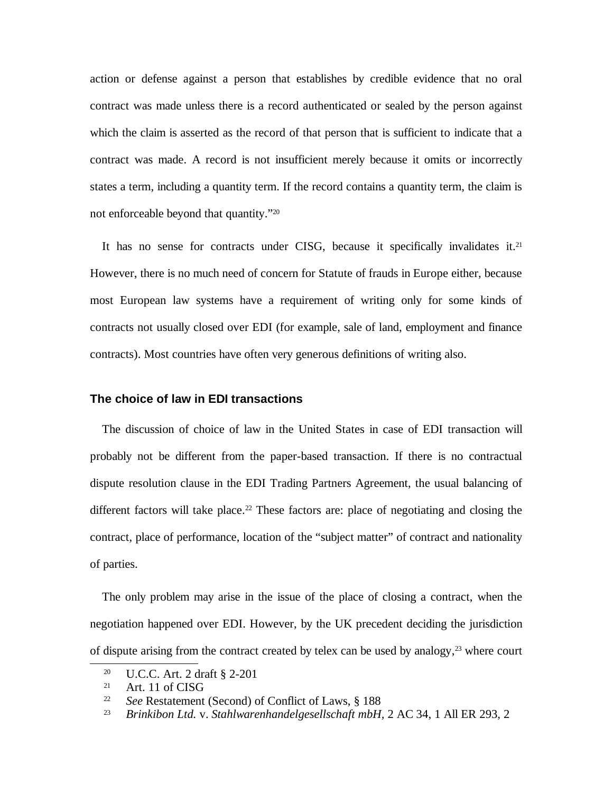action or defense against a person that establishes by credible evidence that no oral contract was made unless there is a record authenticated or sealed by the person against which the claim is asserted as the record of that person that is sufficient to indicate that a contract was made. A record is not insufficient merely because it omits or incorrectly states a term, including a quantity term. If the record contains a quantity term, the claim is not enforceable beyond that quantity." [20](#page-7-0)

It has no sense for contracts under CISG, because it specifically invalidates it.<sup>[21](#page-7-1)</sup> However, there is no much need of concern for Statute of frauds in Europe either, because most European law systems have a requirement of writing only for some kinds of contracts not usually closed over EDI (for example, sale of land, employment and finance contracts). Most countries have often very generous definitions of writing also.

#### **The choice of law in EDI transactions**

The discussion of choice of law in the United States in case of EDI transaction will probably not be different from the paper-based transaction. If there is no contractual dispute resolution clause in the EDI Trading Partners Agreement, the usual balancing of different factors will take place.<sup>[22](#page-7-2)</sup> These factors are: place of negotiating and closing the contract, place of performance, location of the "subject matter" of contract and nationality of parties.

The only problem may arise in the issue of the place of closing a contract, when the negotiation happened over EDI. However, by the UK precedent deciding the jurisdiction of dispute arising from the contract created by telex can be used by analogy, [23](#page-7-3) where court

<span id="page-7-0"></span><sup>20</sup> U.C.C. Art. 2 draft § 2-201

<span id="page-7-1"></span> $21$  Art. 11 of CISG

<span id="page-7-2"></span><sup>22</sup> *See* Restatement (Second) of Conflict of Laws, § 188

<span id="page-7-3"></span><sup>23</sup> *Brinkibon Ltd.* v. *Stahlwarenhandelgesellschaft mbH,* 2 AC 34, 1 All ER 293, 2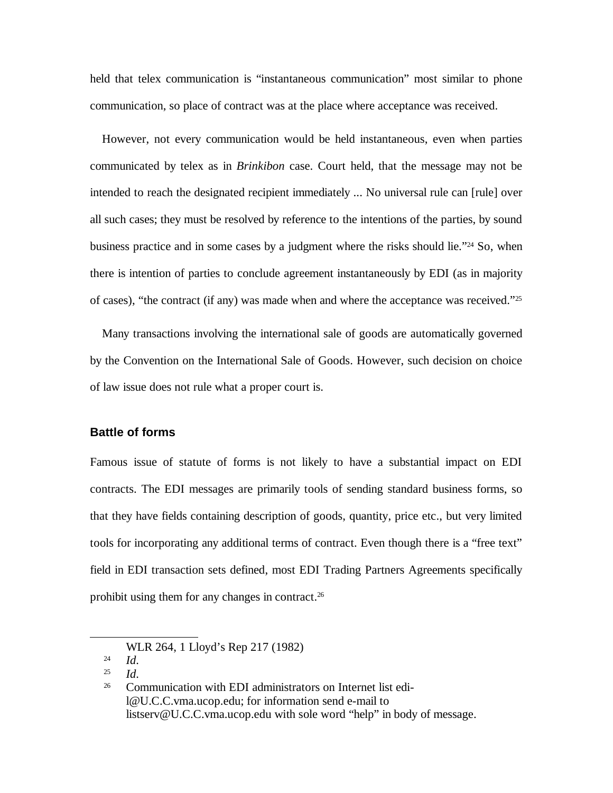held that telex communication is "instantaneous communication" most similar to phone communication, so place of contract was at the place where acceptance was received.

However, not every communication would be held instantaneous, even when parties communicated by telex as in *Brinkibon* case. Court held, that the message may not be intended to reach the designated recipient immediately ... No universal rule can [rule] over all such cases; they must be resolved by reference to the intentions of the parties, by sound business practice and in some cases by a judgment where the risks should lie."<sup>[24](#page-8-0)</sup> So, when there is intention of parties to conclude agreement instantaneously by EDI (as in majority of cases), "the contract (if any) was made when and where the acceptance was received."[25](#page-8-1)

Many transactions involving the international sale of goods are automatically governed by the Convention on the International Sale of Goods. However, such decision on choice of law issue does not rule what a proper court is.

## **Battle of forms**

Famous issue of statute of forms is not likely to have a substantial impact on EDI contracts. The EDI messages are primarily tools of sending standard business forms, so that they have fields containing description of goods, quantity, price etc., but very limited tools for incorporating any additional terms of contract. Even though there is a "free text" field in EDI transaction sets defined, most EDI Trading Partners Agreements specifically prohibit using them for any changes in contract.<sup>[26](#page-8-2)</sup>

24 *Id.*

<span id="page-8-1"></span>25 *Id.*

<span id="page-8-0"></span>WLR 264, 1 Lloyd's Rep 217 (1982)

<span id="page-8-2"></span><sup>&</sup>lt;sup>26</sup> Communication with EDI administrators on Internet list edil@U.C.C.vma.ucop.edu; for information send e-mail to listserv@U.C.C.vma.ucop.edu with sole word "help" in body of message.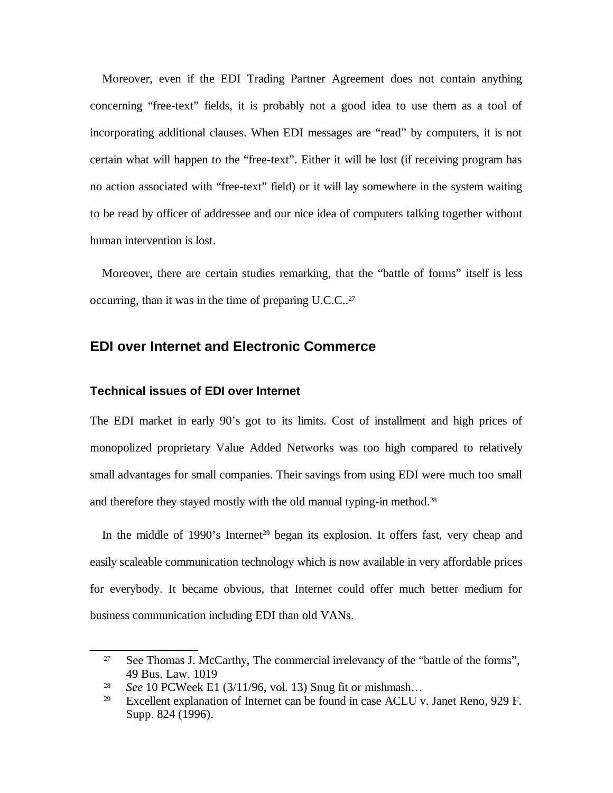Moreover, even if the EDI Trading Partner Agreement does not contain anything concerning "free-text" fields, it is probably not a good idea to use them as a tool of incorporating additional clauses. When EDI messages are "read" by computers, it is not certain what will happen to the "free-text". Either it will be lost (if receiving program has no action associated with "free-text" field) or it will lay somewhere in the system waiting to be read by officer of addressee and our nice idea of computers talking together without human intervention is lost.

Moreover, there are certain studies remarking, that the "battle of forms" itself is less occurring, than it was in the time of preparing U.C.C..<sup>[27](#page-9-0)</sup>

# **EDI over Internet and Electronic Commerce**

### **Technical issues of EDI over Internet**

The EDI market in early 90's got to its limits. Cost of installment and high prices of monopolized proprietary Value Added Networks was too high compared to relatively small advantages for small companies. Their savings from using EDI were much too small and therefore they stayed mostly with the old manual typing-in method.<sup>[28](#page-9-1)</sup>

In the middle of 1990's Internet<sup>[29](#page-9-2)</sup> began its explosion. It offers fast, very cheap and easily scaleable communication technology which is now available in very affordable prices for everybody. It became obvious, that Internet could offer much better medium for business communication including EDI than old VANs.

<span id="page-9-0"></span><sup>&</sup>lt;sup>27</sup> See Thomas J. McCarthy, The commercial irrelevancy of the "battle of the forms", 49 Bus. Law. 1019

<span id="page-9-1"></span><sup>28</sup> *See* 10 PCWeek E1 (3/11/96, vol. 13) Snug fit or mishmash…

<span id="page-9-2"></span><sup>&</sup>lt;sup>29</sup> Excellent explanation of Internet can be found in case ACLU v. Janet Reno, 929 F. Supp. 824 (1996).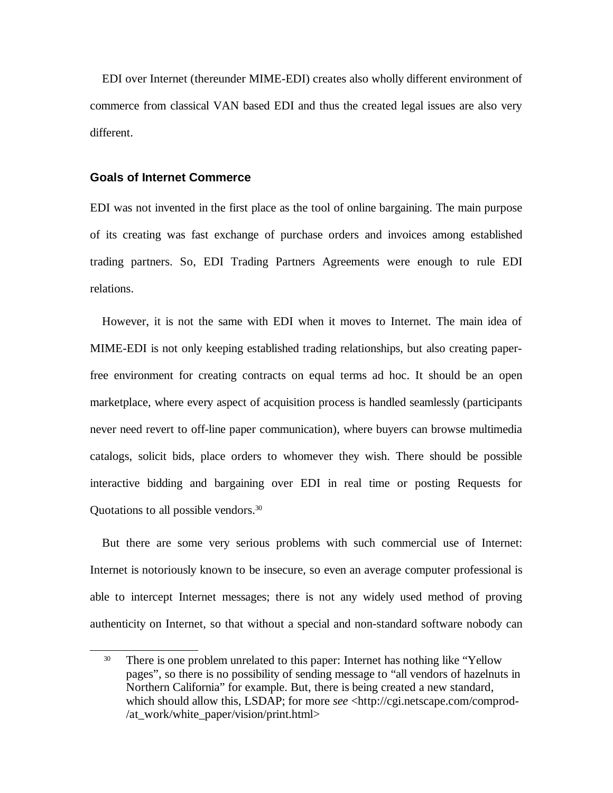EDI over Internet (thereunder MIME-EDI) creates also wholly different environment of commerce from classical VAN based EDI and thus the created legal issues are also very different.

## <span id="page-10-1"></span>**Goals of Internet Commerce**

EDI was not invented in the first place as the tool of online bargaining. The main purpose of its creating was fast exchange of purchase orders and invoices among established trading partners. So, EDI Trading Partners Agreements were enough to rule EDI relations.

However, it is not the same with EDI when it moves to Internet. The main idea of MIME-EDI is not only keeping established trading relationships, but also creating paperfree environment for creating contracts on equal terms ad hoc. It should be an open marketplace, where every aspect of acquisition process is handled seamlessly (participants never need revert to off-line paper communication), where buyers can browse multimedia catalogs, solicit bids, place orders to whomever they wish. There should be possible interactive bidding and bargaining over EDI in real time or posting Requests for Quotations to all possible vendors. [30](#page-10-0)

But there are some very serious problems with such commercial use of Internet: Internet is notoriously known to be insecure, so even an average computer professional is able to intercept Internet messages; there is not any widely used method of proving authenticity on Internet, so that without a special and non-standard software nobody can

<span id="page-10-0"></span><sup>&</sup>lt;sup>30</sup> There is one problem unrelated to this paper: Internet has nothing like "Yellow" pages", so there is no possibility of sending message to "all vendors of hazelnuts in Northern California" for example. But, there is being created a new standard, which should allow this, LSDAP; for more *see* <http://cgi.netscape.com/comprod-/at\_work/white\_paper/vision/print.html>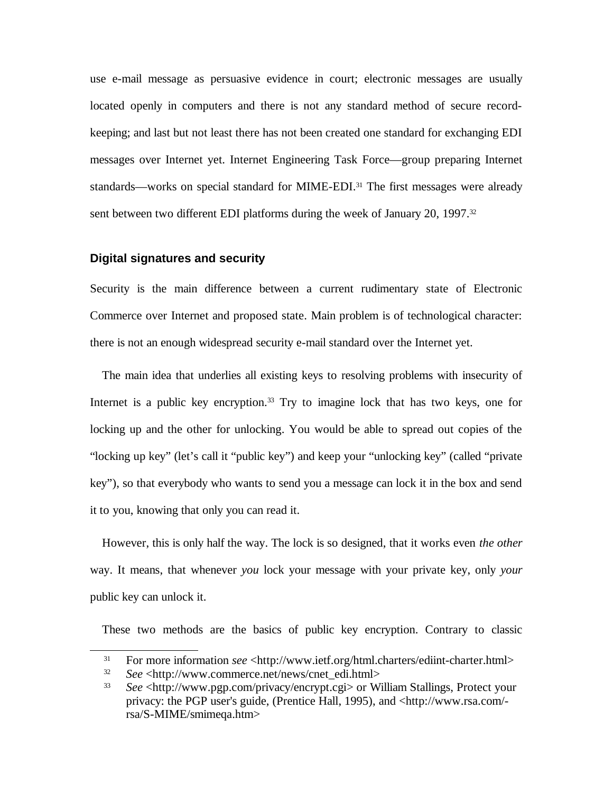use e-mail message as persuasive evidence in court; electronic messages are usually located openly in computers and there is not any standard method of secure recordkeeping; and last but not least there has not been created one standard for exchanging EDI messages over Internet yet. Internet Engineering Task Force—group preparing Internet standards—works on special standard for MIME-EDI.<sup>[31](#page-11-0)</sup> The first messages were already sent between two different EDI platforms during the week of January 20, 1997. [32](#page-11-1)

#### **Digital signatures and security**

Security is the main difference between a current rudimentary state of Electronic Commerce over Internet and proposed state. Main problem is of technological character: there is not an enough widespread security e-mail standard over the Internet yet.

The main idea that underlies all existing keys to resolving problems with insecurity of Internet is a public key encryption. [33](#page-11-2) Try to imagine lock that has two keys, one for locking up and the other for unlocking. You would be able to spread out copies of the "locking up key" (let's call it "public key") and keep your "unlocking key" (called "private key"), so that everybody who wants to send you a message can lock it in the box and send it to you, knowing that only you can read it.

However, this is only half the way. The lock is so designed, that it works even *the other* way. It means, that whenever *you* lock your message with your private key, only *your* public key can unlock it.

These two methods are the basics of public key encryption. Contrary to classic

<span id="page-11-0"></span><sup>&</sup>lt;sup>31</sup> For more information *see* <http://www.ietf.org/html.charters/ediint-charter.html>

<span id="page-11-1"></span><sup>32</sup> *See* <http://www.commerce.net/news/cnet\_edi.html>

<span id="page-11-2"></span><sup>33</sup> *See* <http://www.pgp.com/privacy/encrypt.cgi> or William Stallings, Protect your privacy: the PGP user's guide, (Prentice Hall, 1995), and <http://www.rsa.com/ rsa/S-MIME/smimeqa.htm>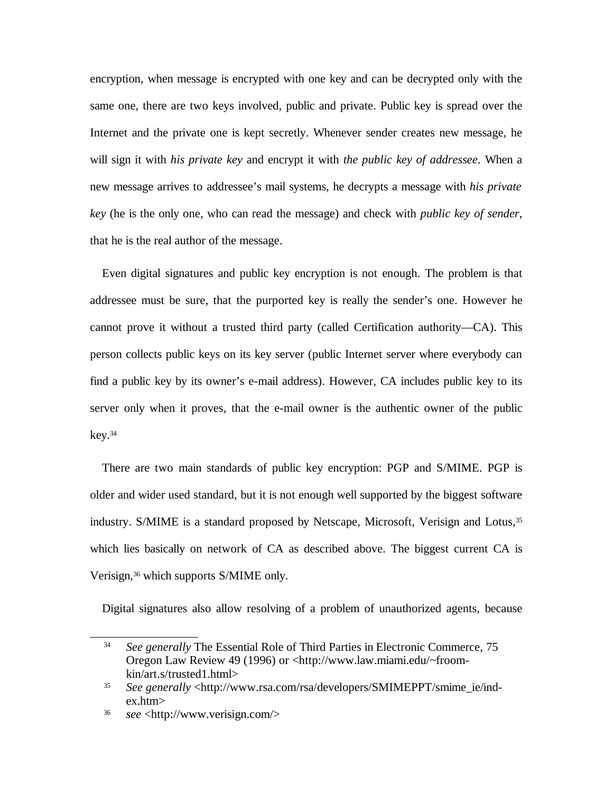encryption, when message is encrypted with one key and can be decrypted only with the same one, there are two keys involved, public and private. Public key is spread over the Internet and the private one is kept secretly. Whenever sender creates new message, he will sign it with *his private key* and encrypt it with *the public key of addressee*. When a new message arrives to addressee's mail systems, he decrypts a message with *his private key* (he is the only one, who can read the message) and check with *public key of sender*, that he is the real author of the message.

Even digital signatures and public key encryption is not enough. The problem is that addressee must be sure, that the purported key is really the sender's one. However he cannot prove it without a trusted third party (called Certification authority—CA). This person collects public keys on its key server (public Internet server where everybody can find a public key by its owner's e-mail address). However, CA includes public key to its server only when it proves, that the e-mail owner is the authentic owner of the public key. [34](#page-12-0)

There are two main standards of public key encryption: PGP and S/MIME. PGP is older and wider used standard, but it is not enough well supported by the biggest software industry. S/MIME is a standard proposed by Netscape, Microsoft, Verisign and Lotus,<sup>[35](#page-12-1)</sup> which lies basically on network of CA as described above. The biggest current CA is Verisign, [36](#page-12-2) which supports S/MIME only.

Digital signatures also allow resolving of a problem of unauthorized agents, because

<span id="page-12-0"></span><sup>34</sup> *See generally* The Essential Role of Third Parties in Electronic Commerce, 75 Oregon Law Review 49 (1996) or <http://www.law.miami.edu/~froomkin/art.s/trusted1.html>

<span id="page-12-1"></span><sup>35</sup> *See generally* <http://www.rsa.com/rsa/developers/SMIMEPPT/smime\_ie/index.htm>

<span id="page-12-2"></span><sup>36</sup> *see* <http://www.verisign.com/>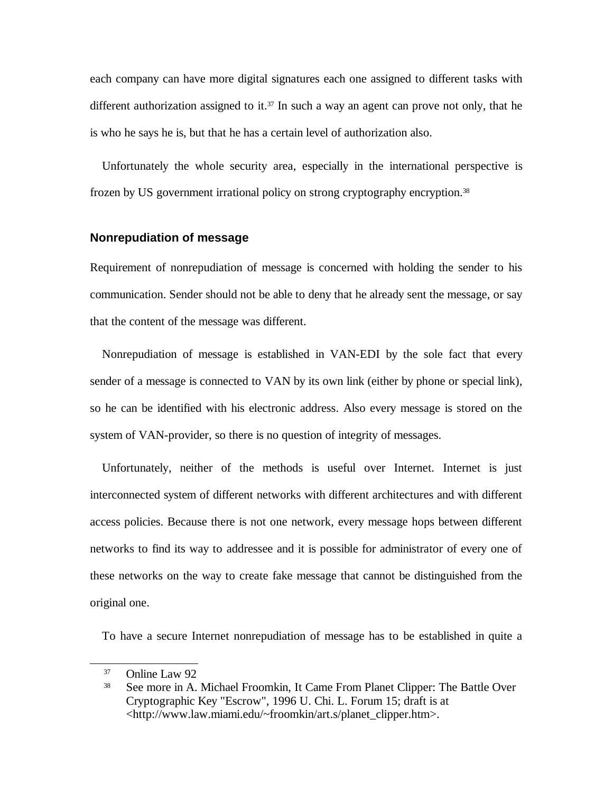each company can have more digital signatures each one assigned to different tasks with different authorization assigned to it.<sup>[37](#page-13-0)</sup> In such a way an agent can prove not only, that he is who he says he is, but that he has a certain level of authorization also.

Unfortunately the whole security area, especially in the international perspective is frozen by US government irrational policy on strong cryptography encryption. [38](#page-13-1)

#### **Nonrepudiation of message**

Requirement of nonrepudiation of message is concerned with holding the sender to his communication. Sender should not be able to deny that he already sent the message, or say that the content of the message was different.

Nonrepudiation of message is established in VAN-EDI by the sole fact that every sender of a message is connected to VAN by its own link (either by phone or special link), so he can be identified with his electronic address. Also every message is stored on the system of VAN-provider, so there is no question of integrity of messages.

Unfortunately, neither of the methods is useful over Internet. Internet is just interconnected system of different networks with different architectures and with different access policies. Because there is not one network, every message hops between different networks to find its way to addressee and it is possible for administrator of every one of these networks on the way to create fake message that cannot be distinguished from the original one.

To have a secure Internet nonrepudiation of message has to be established in quite a

<span id="page-13-0"></span><sup>37</sup> Online Law 92

<span id="page-13-1"></span><sup>38</sup> See more in A. Michael Froomkin, It Came From Planet Clipper: The Battle Over Cryptographic Key "Escrow", 1996 U. Chi. L. Forum 15; draft is at <http://www.law.miami.edu/~froomkin/art.s/planet\_clipper.htm>.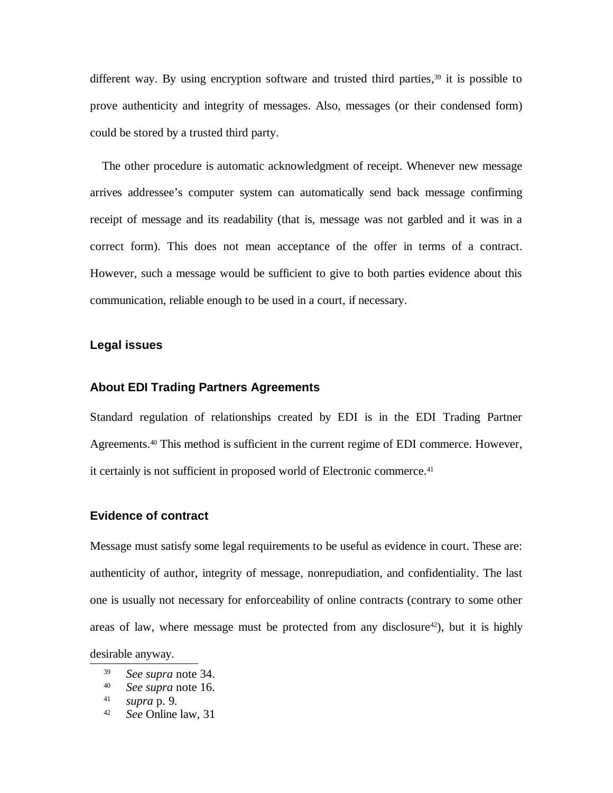different way. By using encryption software and trusted third parties,<sup>[39](#page-14-0)</sup> it is possible to prove authenticity and integrity of messages. Also, messages (or their condensed form) could be stored by a trusted third party.

<span id="page-14-4"></span>The other procedure is automatic acknowledgment of receipt. Whenever new message arrives addressee's computer system can automatically send back message confirming receipt of message and its readability (that is, message was not garbled and it was in a correct form). This does not mean acceptance of the offer in terms of a contract. However, such a message would be sufficient to give to both parties evidence about this communication, reliable enough to be used in a court, if necessary.

### **Legal issues**

#### **About EDI Trading Partners Agreements**

Standard regulation of relationships created by EDI is in the EDI Trading Partner Agreements. [40](#page-14-1) This method is sufficient in the current regime of EDI commerce. However, it certainly is not sufficient in proposed world of Electronic commerce. [41](#page-14-2)

#### **Evidence of contract**

Message must satisfy some legal requirements to be useful as evidence in court. These are: authenticity of author, integrity of message, nonrepudiation, and confidentiality. The last one is usually not necessary for enforceability of online contracts (contrary to some other areas of law, where message must be protected from any disclosure [42](#page-14-3) ), but it is highly desirable anyway.

<span id="page-14-0"></span><sup>39</sup> *See supra* note [34.](#page-12-0)

<span id="page-14-1"></span><sup>40</sup> *See supra* note [16.](#page-6-1)

<span id="page-14-2"></span><sup>41</sup> *supra* p. [9](#page-10-1)*.*

<span id="page-14-3"></span><sup>42</sup> *See* Online law, 31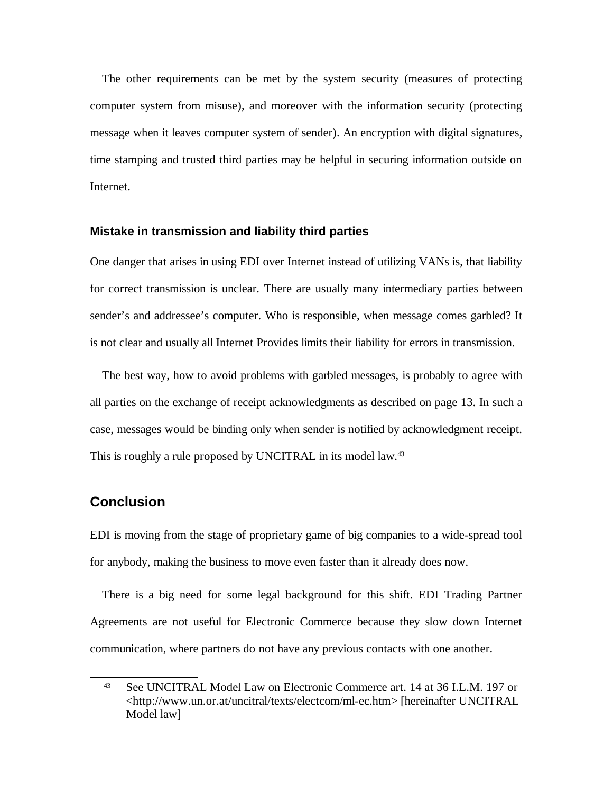The other requirements can be met by the system security (measures of protecting computer system from misuse), and moreover with the information security (protecting message when it leaves computer system of sender). An encryption with digital signatures, time stamping and trusted third parties may be helpful in securing information outside on Internet.

## **Mistake in transmission and liability third parties**

One danger that arises in using EDI over Internet instead of utilizing VANs is, that liability for correct transmission is unclear. There are usually many intermediary parties between sender's and addressee's computer. Who is responsible, when message comes garbled? It is not clear and usually all Internet Provides limits their liability for errors in transmission.

The best way, how to avoid problems with garbled messages, is probably to agree with all parties on the exchange of receipt acknowledgments as described on page [13](#page-14-4). In such a case, messages would be binding only when sender is notified by acknowledgment receipt. This is roughly a rule proposed by UNCITRAL in its model law.<sup>[43](#page-15-0)</sup>

## **Conclusion**

EDI is moving from the stage of proprietary game of big companies to a wide-spread tool for anybody, making the business to move even faster than it already does now.

There is a big need for some legal background for this shift. EDI Trading Partner Agreements are not useful for Electronic Commerce because they slow down Internet communication, where partners do not have any previous contacts with one another.

<span id="page-15-0"></span><sup>43</sup> See UNCITRAL Model Law on Electronic Commerce art. 14 at 36 I.L.M. 197 or <http://www.un.or.at/uncitral/texts/electcom/ml-ec.htm> [hereinafter UNCITRAL Model law]